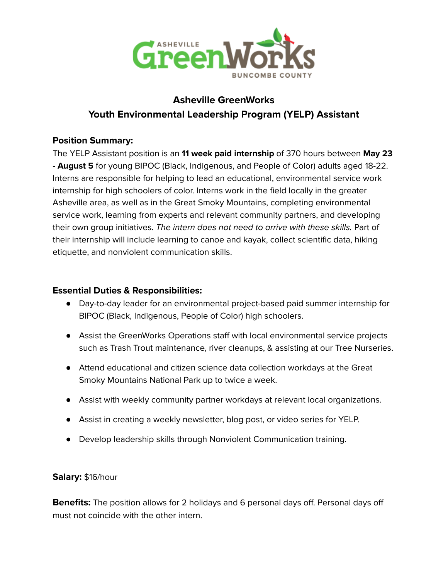

# **Asheville GreenWorks Youth Environmental Leadership Program (YELP) Assistant**

# **Position Summary:**

The YELP Assistant position is an **11 week paid internship** of 370 hours between **May 23 - August 5** for young BIPOC (Black, Indigenous, and People of Color) adults aged 18-22. Interns are responsible for helping to lead an educational, environmental service work internship for high schoolers of color. Interns work in the field locally in the greater Asheville area, as well as in the Great Smoky Mountains, completing environmental service work, learning from experts and relevant community partners, and developing their own group initiatives. The intern does not need to arrive with these skills. Part of their internship will include learning to canoe and kayak, collect scientific data, hiking etiquette, and nonviolent communication skills.

#### **Essential Duties & Responsibilities:**

- Day-to-day leader for an environmental project-based paid summer internship for BIPOC (Black, Indigenous, People of Color) high schoolers.
- Assist the GreenWorks Operations staff with local environmental service projects such as Trash Trout maintenance, river cleanups, & assisting at our Tree Nurseries.
- Attend educational and citizen science data collection workdays at the Great Smoky Mountains National Park up to twice a week.
- Assist with weekly community partner workdays at relevant local organizations.
- Assist in creating a weekly newsletter, blog post, or video series for YELP.
- Develop leadership skills through Nonviolent Communication training.

#### **Salary:** \$16/hour

**Benefits:** The position allows for 2 holidays and 6 personal days off. Personal days off must not coincide with the other intern.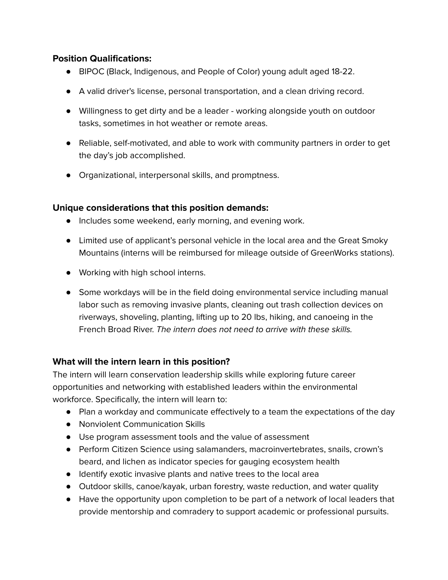### **Position Qualifications:**

- BIPOC (Black, Indigenous, and People of Color) young adult aged 18-22.
- A valid driver's license, personal transportation, and a clean driving record.
- Willingness to get dirty and be a leader working alongside youth on outdoor tasks, sometimes in hot weather or remote areas.
- Reliable, self-motivated, and able to work with community partners in order to get the day's job accomplished.
- Organizational, interpersonal skills, and promptness.

#### **Unique considerations that this position demands:**

- Includes some weekend, early morning, and evening work.
- Limited use of applicant's personal vehicle in the local area and the Great Smoky Mountains (interns will be reimbursed for mileage outside of GreenWorks stations).
- Working with high school interns.
- Some workdays will be in the field doing environmental service including manual labor such as removing invasive plants, cleaning out trash collection devices on riverways, shoveling, planting, lifting up to 20 lbs, hiking, and canoeing in the French Broad River. The intern does not need to arrive with these skills.

# **What will the intern learn in this position?**

The intern will learn conservation leadership skills while exploring future career opportunities and networking with established leaders within the environmental workforce. Specifically, the intern will learn to:

- Plan a workday and communicate effectively to a team the expectations of the day
- Nonviolent Communication Skills
- Use program assessment tools and the value of assessment
- Perform Citizen Science using salamanders, macroinvertebrates, snails, crown's beard, and lichen as indicator species for gauging ecosystem health
- Identify exotic invasive plants and native trees to the local area
- Outdoor skills, canoe/kayak, urban forestry, waste reduction, and water quality
- Have the opportunity upon completion to be part of a network of local leaders that provide mentorship and comradery to support academic or professional pursuits.